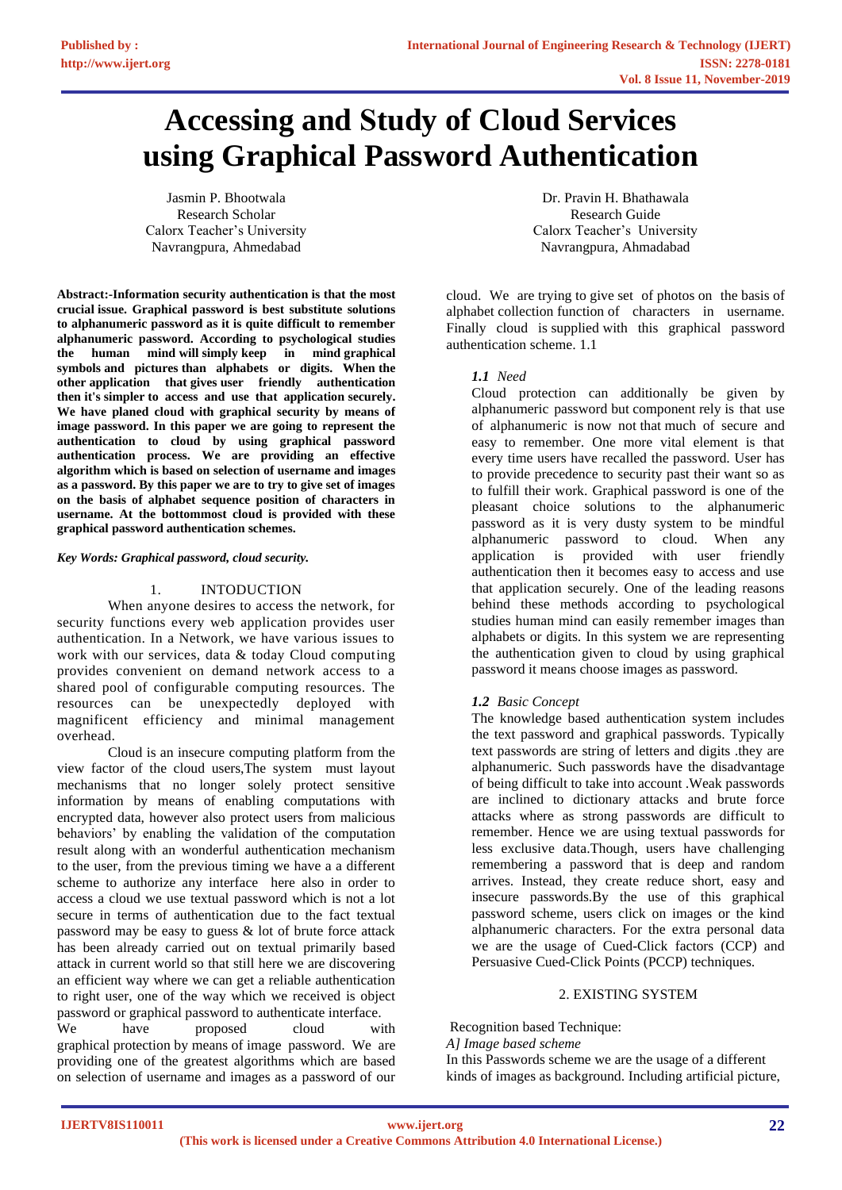# **Accessing and Study of Cloud Services using Graphical Password Authentication**

Jasmin P. Bhootwala Research Scholar Calorx Teacher's University Navrangpura, Ahmedabad

**Abstract:-Information security authentication is that the most crucial issue. Graphical password is best substitute solutions to alphanumeric password as it is quite difficult to remember alphanumeric password. According to psychological studies the human mind will simply keep in mind graphical symbols and pictures than alphabets or digits. When the other application that gives user friendly authentication then it's simpler to access and use that application securely. We have planed cloud with graphical security by means of image password. In this paper we are going to represent the authentication to cloud by using graphical password authentication process. We are providing an effective algorithm which is based on selection of username and images as a password. By this paper we are to try to give set of images on the basis of alphabet sequence position of characters in username. At the bottommost cloud is provided with these graphical password authentication schemes.**

## *Key Words: Graphical password, cloud security.*

# 1. INTODUCTION

When anyone desires to access the network, for security functions every web application provides user authentication. In a Network, we have various issues to work with our services, data & today Cloud computing provides convenient on demand network access to a shared pool of configurable computing resources. The resources can be unexpectedly deployed with magnificent efficiency and minimal management overhead.

Cloud is an insecure computing platform from the view factor of the cloud users,The system must layout mechanisms that no longer solely protect sensitive information by means of enabling computations with encrypted data, however also protect users from malicious behaviors' by enabling the validation of the computation result along with an wonderful authentication mechanism to the user, from the previous timing we have a a different scheme to authorize any interface here also in order to access a cloud we use textual password which is not a lot secure in terms of authentication due to the fact textual password may be easy to guess & lot of brute force attack has been already carried out on textual primarily based attack in current world so that still here we are discovering an efficient way where we can get a reliable authentication to right user, one of the way which we received is object password or graphical password to authenticate interface. We have proposed cloud with graphical protection by means of image password. We are providing one of the greatest algorithms which are based on selection of username and images as a password of our

Dr. Pravin H. Bhathawala Research Guide Calorx Teacher's University Navrangpura, Ahmadabad

cloud. We are trying to give set of photos on the basis of alphabet collection function of characters in username. Finally cloud is supplied with this graphical password authentication scheme. 1.1

# *1.1 Need*

Cloud protection can additionally be given by alphanumeric password but component rely is that use of alphanumeric is now not that much of secure and easy to remember. One more vital element is that every time users have recalled the password. User has to provide precedence to security past their want so as to fulfill their work. Graphical password is one of the pleasant choice solutions to the alphanumeric password as it is very dusty system to be mindful alphanumeric password to cloud. When any application is provided with user friendly authentication then it becomes easy to access and use that application securely. One of the leading reasons behind these methods according to psychological studies human mind can easily remember images than alphabets or digits. In this system we are representing the authentication given to cloud by using graphical password it means choose images as password.

# *1.2 Basic Concept*

The knowledge based authentication system includes the text password and graphical passwords. Typically text passwords are string of letters and digits .they are alphanumeric. Such passwords have the disadvantage of being difficult to take into account .Weak passwords are inclined to dictionary attacks and brute force attacks where as strong passwords are difficult to remember. Hence we are using textual passwords for less exclusive data.Though, users have challenging remembering a password that is deep and random arrives. Instead, they create reduce short, easy and insecure passwords.By the use of this graphical password scheme, users click on images or the kind alphanumeric characters. For the extra personal data we are the usage of Cued-Click factors (CCP) and Persuasive Cued-Click Points (PCCP) techniques.

## 2. EXISTING SYSTEM

Recognition based Technique:

## *A] Image based scheme*

In this Passwords scheme we are the usage of a different kinds of images as background. Including artificial picture,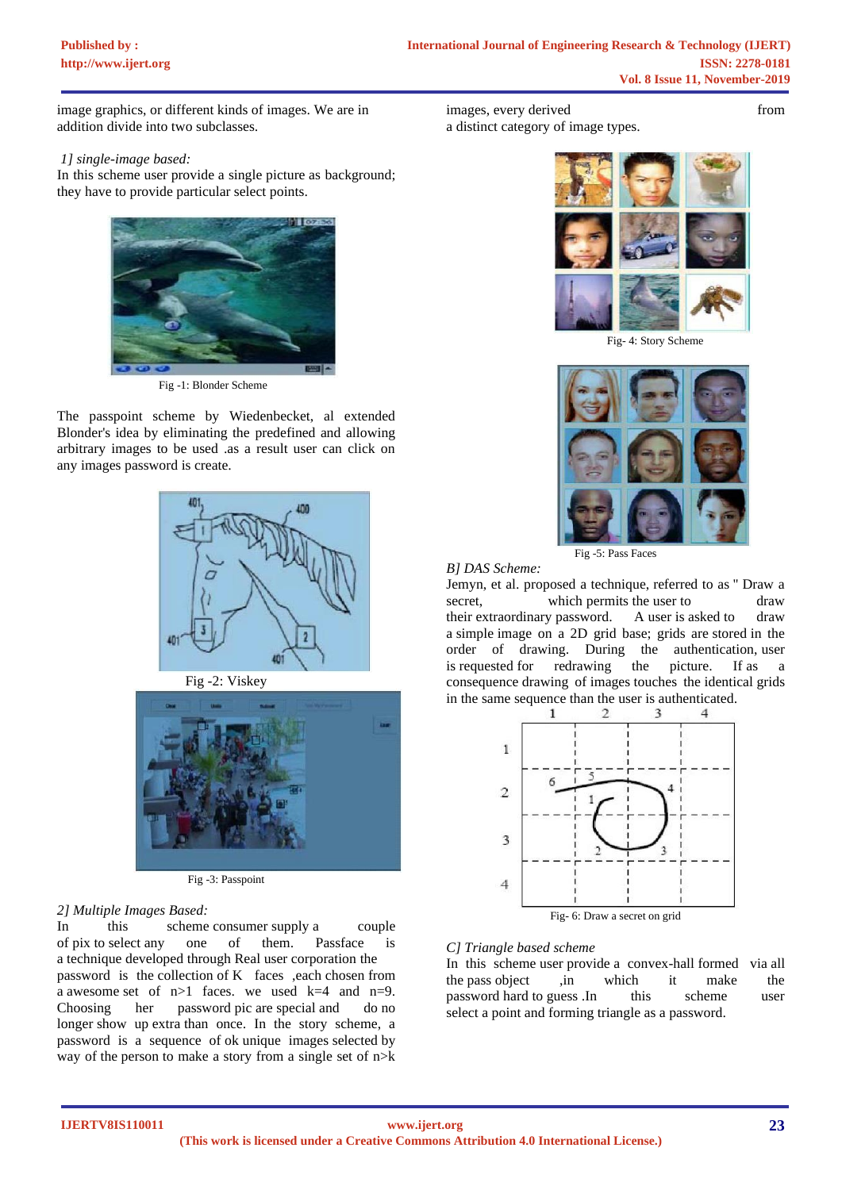image graphics, or different kinds of images. We are in addition divide into two subclasses.

# *1] single-image based:*

In this scheme user provide a single picture as background; they have to provide particular select points.



Fig -1: Blonder Scheme

The passpoint scheme by Wiedenbecket, al extended Blonder's idea by eliminating the predefined and allowing arbitrary images to be used .as a result user can click on any images password is create.





Fig -3: Passpoint

# *2] Multiple Images Based:*

In this scheme consumer supply a couple of pix to select any one of them. Passface is a technique developed through Real user corporation the password is the collection of K faces ,each chosen from a awesome set of  $n>1$  faces. we used  $k=4$  and  $n=9$ . Choosing her password pic are special and do no longer show up extra than once. In the story scheme, a password is a sequence of ok unique images selected by way of the person to make a story from a single set of n>k

images, every derived from from a distinct category of image types.



Fig- 4: Story Scheme



Fig -5: Pass Faces

Jemyn, et al. proposed a technique, referred to as '' Draw a secret, which permits the user to draw their extraordinary password. A user is asked to draw a simple image on a 2D grid base; grids are stored in the order of drawing. During the authentication, user is requested for redrawing the picture. If as a consequence drawing of images touches the identical grids in the same sequence than the user is authenticated.



# *C] Triangle based scheme*

*B] DAS Scheme:* 

In this scheme user provide a convex-hall formed via all the pass object ,in which it make the password hard to guess .In this scheme user select a point and forming triangle as a password.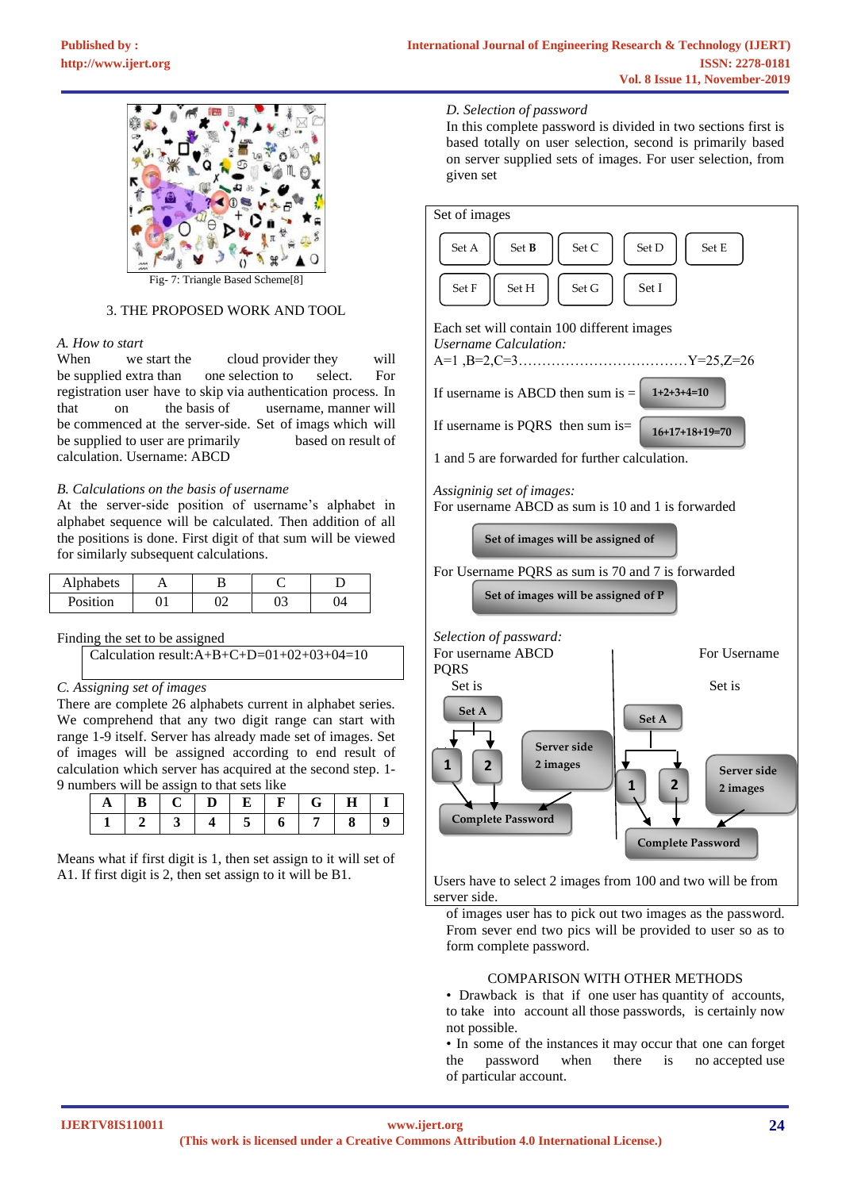

Triangle Based Scheme<sup>[8]</sup>

# 3. THE PROPOSED WORK AND TOOL

# *A. How to start*

When we start the cloud provider they will be supplied extra than one selection to select. For registration user have to skip via authentication process. In that on the basis of username, manner will be commenced at the server-side. Set of imags which will be supplied to user are primarily based on result of calculation. Username: ABCD

## *B. Calculations on the basis of username*

At the server-side position of username's alphabet in alphabet sequence will be calculated. Then addition of all the positions is done. First digit of that sum will be viewed for similarly subsequent calculations.

| Alphabets |  |  |  |
|-----------|--|--|--|
| Position  |  |  |  |

## Finding the set to be assigned

# *C. Assigning set of images*

There are complete 26 alphabets current in alphabet series. We comprehend that any two digit range can start with range 1-9 itself. Server has already made set of images. Set of images will be assigned according to end result of calculation which server has acquired at the second step. 1- 9 numbers will be assign to that sets like

Means what if first digit is 1, then set assign to it will set of A1. If first digit is 2, then set assign to it will be B1.

## *D. Selection of password*

In this complete password is divided in two sections first is based totally on user selection, second is primarily based on server supplied sets of images. For user selection, from given set

| Set of images                                                                                                             |                                                                                  |  |  |  |
|---------------------------------------------------------------------------------------------------------------------------|----------------------------------------------------------------------------------|--|--|--|
| Set A<br>Set C<br>Set B<br>Set D<br>Set E<br>$\operatorname{Set}$ $\mathbf F$<br>$\operatorname{Set} G$<br>Set I<br>Set H |                                                                                  |  |  |  |
| Each set will contain 100 different images<br><b>Username Calculation:</b>                                                |                                                                                  |  |  |  |
| If username is ABCD then sum is $=$ 1+2+3+4=10                                                                            |                                                                                  |  |  |  |
| If username is PQRS then sum is=<br>$16+17+18+19=70$                                                                      |                                                                                  |  |  |  |
| 1 and 5 are forwarded for further calculation.                                                                            |                                                                                  |  |  |  |
| Assigninig set of images:<br>For username ABCD as sum is 10 and 1 is forwarded                                            |                                                                                  |  |  |  |
| Set of images will be assigned of                                                                                         |                                                                                  |  |  |  |
| For Username PQRS as sum is 70 and 7 is forwarded<br>Set of images will be assigned of P                                  |                                                                                  |  |  |  |
| Selection of passward:<br>For username ABCD<br><b>PQRS</b>                                                                | For Username                                                                     |  |  |  |
| Set is<br>Set A<br>Server side<br>1<br>2 images<br>$\overline{2}$<br><b>Complete Password</b>                             | Set is<br>Set A<br>Server side<br>2<br>1<br>2 images<br><b>Complete Password</b> |  |  |  |

Users have to select 2 images from 100 and two will be from server side.

of images user has to pick out two images as the password. From sever end two pics will be provided to user so as to form complete password.

# COMPARISON WITH OTHER METHODS

• Drawback is that if one user has quantity of accounts, to take into account all those passwords, is certainly now not possible.

• In some of the instances it may occur that one can forget the password when there is no accepted use of particular account.